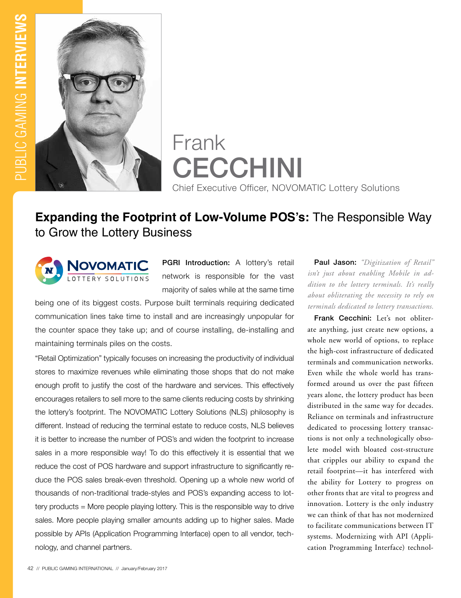

# Frank **CECCHINI** Chief Executive Officer, NOVOMATIC Lottery Solutions

## **Expanding the Footprint of Low-Volume POS's:** The Responsible Way to Grow the Lottery Business



PGRI Introduction: A lottery's retail network is responsible for the vast majority of sales while at the same time

being one of its biggest costs. Purpose built terminals requiring dedicated communication lines take time to install and are increasingly unpopular for the counter space they take up; and of course installing, de-installing and maintaining terminals piles on the costs.

"Retail Optimization" typically focuses on increasing the productivity of individual stores to maximize revenues while eliminating those shops that do not make enough profit to justify the cost of the hardware and services. This effectively encourages retailers to sell more to the same clients reducing costs by shrinking the lottery's footprint. The NOVOMATIC Lottery Solutions (NLS) philosophy is different. Instead of reducing the terminal estate to reduce costs, NLS believes it is better to increase the number of POS's and widen the footprint to increase sales in a more responsible way! To do this effectively it is essential that we reduce the cost of POS hardware and support infrastructure to significantly reduce the POS sales break-even threshold. Opening up a whole new world of thousands of non-traditional trade-styles and POS's expanding access to lottery products = More people playing lottery. This is the responsible way to drive sales. More people playing smaller amounts adding up to higher sales. Made possible by APIs (Application Programming Interface) open to all vendor, technology, and channel partners.

Paul Jason: *"Digitization of Retail" isn't just about enabling Mobile in addition to the lottery terminals. It's really about obliterating the necessity to rely on terminals dedicated to lottery transactions.*

Frank Cecchini: Let's not obliterate anything, just create new options, a whole new world of options, to replace the high-cost infrastructure of dedicated terminals and communication networks. Even while the whole world has transformed around us over the past fifteen years alone, the lottery product has been distributed in the same way for decades. Reliance on terminals and infrastructure dedicated to processing lottery transactions is not only a technologically obsolete model with bloated cost-structure that cripples our ability to expand the retail footprint—it has interfered with the ability for Lottery to progress on other fronts that are vital to progress and innovation. Lottery is the only industry we can think of that has not modernized to facilitate communications between IT systems. Modernizing with API (Application Programming Interface) technol-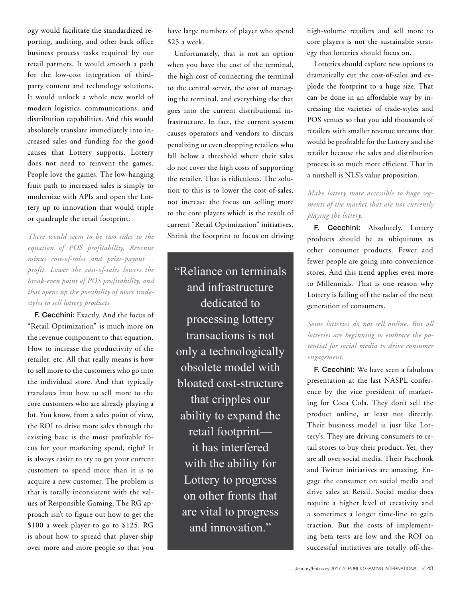ogy would facilitate the standardized reporting, auditing, and other back office business process tasks required by our retail partners. It would smooth a path for the low-cost integration of thirdparty content and technology solutions. It would unlock a whole new world of modern logistics, communications, and distribution capabilities. And this would absolutely translate immediately into increased sales and funding for the good causes that Lottery supports. Lottery does not need to reinvent the games. People love the games. The low-hanging fruit path to increased sales is simply to modernize with APIs and open the Lottery up to innovation that would triple or quadruple the retail footprint.

*There would seem to be two sides to the equation of POS profitability. Revenue minus cost-of-sales and prize-payout = profit. Lower the cost-of-sales lowers the break-even point of POS profitability, and that opens up the possibility of more tradestyles to sell lottery products.* 

F. Cecchini: Exactly. And the focus of "Retail Optimization" is much more on the revenue component to that equation. How to increase the productivity of the retailer, etc. All that really means is how to sell more to the customers who go into the individual store. And that typically translates into how to sell more to the core customers who are already playing a lot. You know, from a sales point of view, the ROI to drive more sales through the existing base is the most profitable focus for your marketing spend, right? It is always easier to try to get your current customers to spend more than it is to acquire a new customer. The problem is that is totally inconsistent with the values of Responsible Gaming. The RG approach isn't to figure out how to get the \$100 a week player to go to \$125. RG is about how to spread that player-ship over more and more people so that you

have large numbers of player who spend \$25 a week.

Unfortunately, that is not an option when you have the cost of the terminal, the high cost of connecting the terminal to the central server, the cost of managing the terminal, and everything else that goes into the current distributional infrastructure. In fact, the current system causes operators and vendors to discuss penalizing or even dropping retailers who fall below a threshold where their sales do not cover the high costs of supporting the retailer. That is ridiculous. The solution to this is to lower the cost-of-sales, not increase the focus on selling more to the core players which is the result of current "Retail Optimization" initiatives. Shrink the footprint to focus on driving

"Reliance on terminals and infrastructure dedicated to processing lottery transactions is not only a technologically obsolete model with bloated cost-structure that cripples our ability to expand the retail footprint it has interfered with the ability for Lottery to progress on other fronts that are vital to progress and innovation."

high-volume retailers and sell more to core players is not the sustainable strategy that lotteries should focus on.

Lotteries should explore new options to dramatically cut the cost-of-sales and explode the footprint to a huge size. That can be done in an affordable way by increasing the varieties of trade-styles and POS venues so that you add thousands of retailers with smaller revenue streams that would be profitable for the Lottery and the retailer because the sales and distribution process is so much more efficient. That in a nutshell is NLS's value proposition.

#### *Make lottery more accessible to huge segments of the market that are not currently playing the lottery.*

F. Cecchini: Absolutely. Lottery products should be as ubiquitous as other consumer products. Fewer and fewer people are going into convenience stores. And this trend applies even more to Millennials. That is one reason why Lottery is falling off the radar of the next generation of consumers.

*Some lotteries do not sell online. But all lotteries are beginning to embrace the potential for social media to drive consumer engagement.* 

F. Cecchini: We have seen a fabulous presentation at the last NASPL conference by the vice president of marketing for Coca Cola. They don't sell the product online, at least not directly. Their business model is just like Lottery's. They are driving consumers to retail stores to buy their product. Yet, they are all over social media. Their Facebook and Twitter initiatives are amazing. Engage the consumer on social media and drive sales at Retail. Social media does require a higher level of creativity and a sometimes a longer time-line to gain traction. But the costs of implementing beta tests are low and the ROI on successful initiatives are totally off-the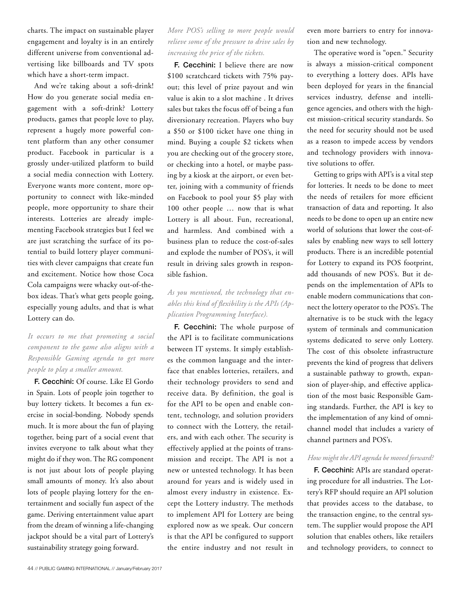charts. The impact on sustainable player engagement and loyalty is in an entirely different universe from conventional advertising like billboards and TV spots which have a short-term impact.

And we're taking about a soft-drink! How do you generate social media engagement with a soft-drink? Lottery products, games that people love to play, represent a hugely more powerful content platform than any other consumer product. Facebook in particular is a grossly under-utilized platform to build a social media connection with Lottery. Everyone wants more content, more opportunity to connect with like-minded people, more opportunity to share their interests. Lotteries are already implementing Facebook strategies but I feel we are just scratching the surface of its potential to build lottery player communities with clever campaigns that create fun and excitement. Notice how those Coca Cola campaigns were whacky out-of-thebox ideas. That's what gets people going, especially young adults, and that is what Lottery can do.

### *It occurs to me that promoting a social component to the game also aligns with a Responsible Gaming agenda to get more people to play a smaller amount.*

F. Cecchini: Of course. Like El Gordo in Spain. Lots of people join together to buy lottery tickets. It becomes a fun exercise in social-bonding. Nobody spends much. It is more about the fun of playing together, being part of a social event that invites everyone to talk about what they might do if they won. The RG component is not just about lots of people playing small amounts of money. It's also about lots of people playing lottery for the entertainment and socially fun aspect of the game. Deriving entertainment value apart from the dream of winning a life-changing jackpot should be a vital part of Lottery's sustainability strategy going forward.

*More POS's selling to more people would relieve some of the pressure to drive sales by increasing the price of the tickets.*

F. Cecchini: I believe there are now \$100 scratchcard tickets with 75% payout; this level of prize payout and win value is akin to a slot machine . It drives sales but takes the focus off of being a fun diversionary recreation. Players who buy a \$50 or \$100 ticket have one thing in mind. Buying a couple \$2 tickets when you are checking out of the grocery store, or checking into a hotel, or maybe passing by a kiosk at the airport, or even better, joining with a community of friends on Facebook to pool your \$5 play with 100 other people … now that is what Lottery is all about. Fun, recreational, and harmless. And combined with a business plan to reduce the cost-of-sales and explode the number of POS's, it will result in driving sales growth in responsible fashion.

#### *As you mentioned, the technology that enables this kind of flexibility is the APIs (Application Programming Interface).*

F. Cecchini: The whole purpose of the API is to facilitate communications between IT systems. It simply establishes the common language and the interface that enables lotteries, retailers, and their technology providers to send and receive data. By definition, the goal is for the API to be open and enable content, technology, and solution providers to connect with the Lottery, the retailers, and with each other. The security is effectively applied at the points of transmission and receipt. The API is not a new or untested technology. It has been around for years and is widely used in almost every industry in existence. Except the Lottery industry. The methods to implement API for Lottery are being explored now as we speak. Our concern is that the API be configured to support the entire industry and not result in even more barriers to entry for innovation and new technology.

The operative word is "open." Security is always a mission-critical component to everything a lottery does. APIs have been deployed for years in the financial services industry, defense and intelligence agencies, and others with the highest mission-critical security standards. So the need for security should not be used as a reason to impede access by vendors and technology providers with innovative solutions to offer.

Getting to grips with API's is a vital step for lotteries. It needs to be done to meet the needs of retailers for more efficient transaction of data and reporting. It also needs to be done to open up an entire new world of solutions that lower the cost-ofsales by enabling new ways to sell lottery products. There is an incredible potential for Lottery to expand its POS footprint, add thousands of new POS's. But it depends on the implementation of APIs to enable modern communications that connect the lottery operator to the POS's. The alternative is to be stuck with the legacy system of terminals and communication systems dedicated to serve only Lottery. The cost of this obsolete infrastructure prevents the kind of progress that delivers a sustainable pathway to growth, expansion of player-ship, and effective application of the most basic Responsible Gaming standards. Further, the API is key to the implementation of any kind of omnichannel model that includes a variety of channel partners and POS's.

#### *How might the API agenda be moved forward?*

F. Cecchini: APIs are standard operating procedure for all industries. The Lottery's RFP should require an API solution that provides access to the database, to the transaction engine, to the central system. The supplier would propose the API solution that enables others, like retailers and technology providers, to connect to